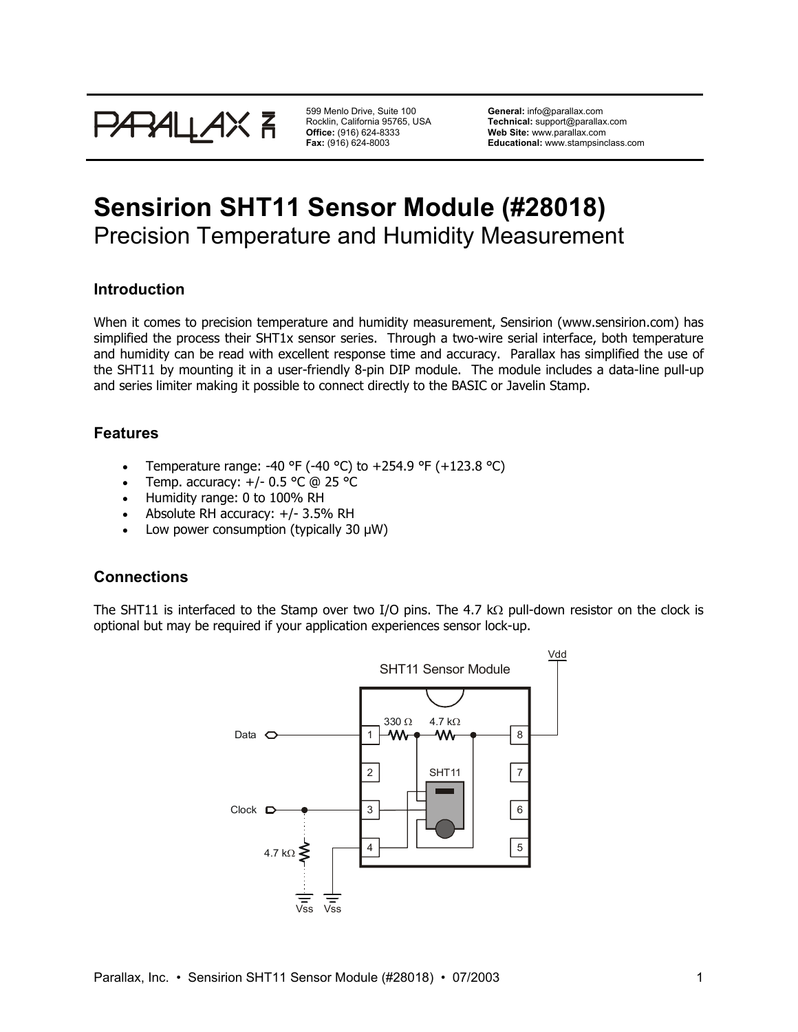

599 Menlo Drive, Suite 100 Rocklin, California 95765, USA **Office:** (916) 624-8333 **Fax:** (916) 624-8003

**General:** info@parallax.com **Technical:** support@parallax.com **Web Site:** www.parallax.com **Educational:** www.stampsinclass.com

# **Sensirion SHT11 Sensor Module (#28018)**  Precision Temperature and Humidity Measurement

### **Introduction**

When it comes to precision temperature and humidity measurement, Sensirion (www.sensirion.com) has simplified the process their SHT1x sensor series. Through a two-wire serial interface, both temperature and humidity can be read with excellent response time and accuracy. Parallax has simplified the use of the SHT11 by mounting it in a user-friendly 8-pin DIP module. The module includes a data-line pull-up and series limiter making it possible to connect directly to the BASIC or Javelin Stamp.

### **Features**

- Temperature range: -40 °F (-40 °C) to +254.9 °F (+123.8 °C)
- Temp. accuracy: +/- 0.5 °C @ 25 °C
- Humidity range: 0 to 100% RH
- Absolute RH accuracy: +/- 3.5% RH
- Low power consumption (typically 30 µW)

### **Connections**

The SHT11 is interfaced to the Stamp over two I/O pins. The 4.7 kΩ pull-down resistor on the clock is optional but may be required if your application experiences sensor lock-up.

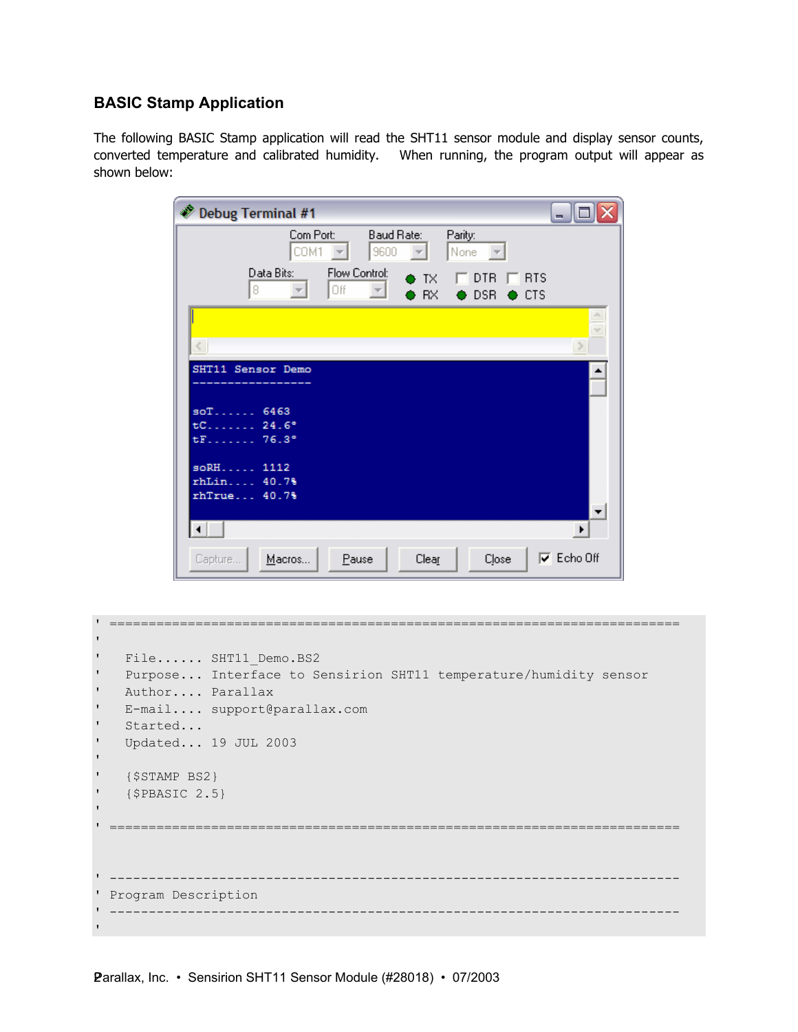## **BASIC Stamp Application**

The following BASIC Stamp application will read the SHT11 sensor module and display sensor counts, converted temperature and calibrated humidity. When running, the program output will appear as shown below:

| Debug Terminal #1<br>÷. |                     |                                             |                        |                           |                             |
|-------------------------|---------------------|---------------------------------------------|------------------------|---------------------------|-----------------------------|
|                         | Com Port:<br>COM1   | Baud Rate:<br>9600                          | Parity:                | None<br>$\overline{\psi}$ |                             |
|                         | Data Bits:<br>8     | Flow Control:<br>Off<br>$\overline{\nabla}$ | D TX<br><b>RX</b><br>۵ | DTR<br>$\bullet$ DSR      | <b>RTS</b><br>$\bullet$ CTS |
|                         |                     |                                             |                        |                           | v                           |
|                         | SHT11 Sensor Demo   |                                             |                        |                           |                             |
|                         | $soT$ 6463          |                                             |                        |                           |                             |
| tF                      | $tC$ 24.6°<br>76.3° |                                             |                        |                           |                             |
| rhLin                   | soRH 1112<br>40.7%  |                                             |                        |                           |                             |
|                         | rhTrue 40.7%        |                                             |                        |                           |                             |
| Capture                 | Macros              | Pause                                       | Clear                  | Close                     | $\nabla$ Echo Off           |

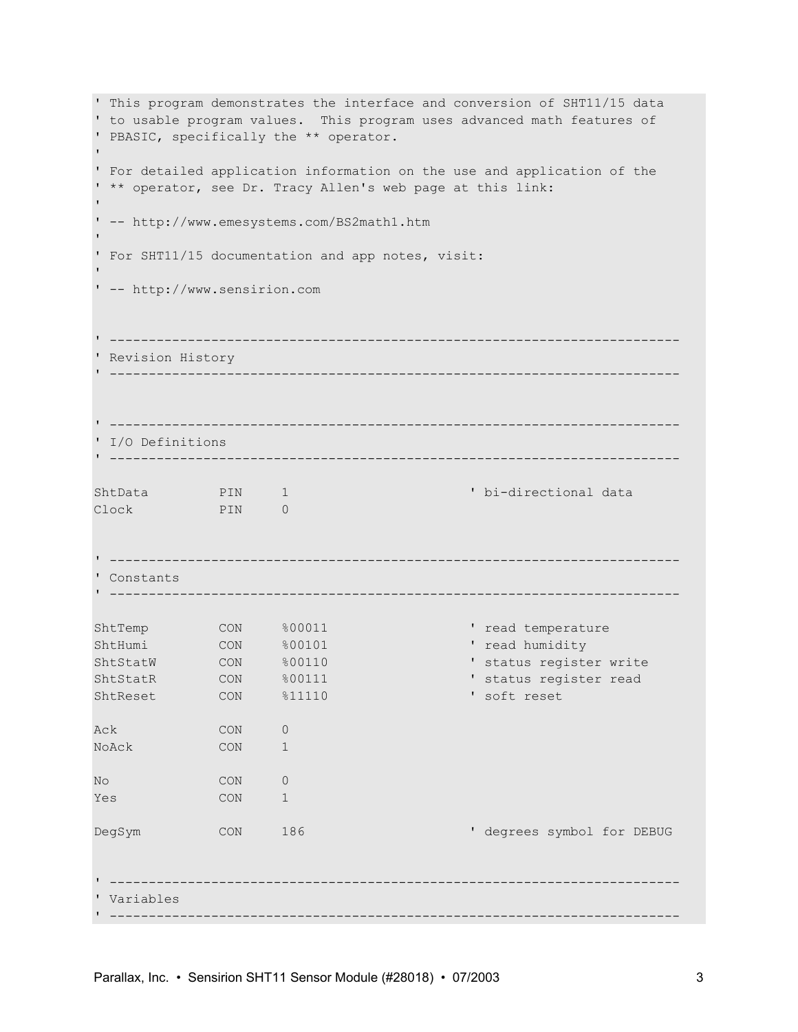' This program demonstrates the interface and conversion of SHT11/15 data ' to usable program values. This program uses advanced math features of ' PBASIC, specifically the \*\* operator. ' ' For detailed application information on the use and application of the ' \*\* operator, see Dr. Tracy Allen's web page at this link: ' ' -- http://www.emesystems.com/BS2math1.htm ' ' For SHT11/15 documentation and app notes, visit: ' ' -- http://www.sensirion.com ' ------------------------------------------------------------------------- ' Revision History ' ------------------------------------------------------------------------- ' ------------------------------------------------------------------------- ' I/O Definitions ' ------------------------------------------------------------------------- ShtData PIN 1 ' bi-directional data Clock PIN 0 ' ------------------------------------------------------------------------- ' Constants ' ------------------------------------------------------------------------- ShtTemp CON %00011 ' read temperature ShtHumi CON %00101 ' read humidity ShtStatW CON %00110 ' status register write ShtStatR CON %00111 ' status register read ShtReset CON %11110 'soft reset Ack CON 0 NoAck CON 1 No CON 0 Yes CON 1 DegSym CON 186 ' degrees symbol for DEBUG ' ------------------------------------------------------------------------- ' Variables ' -------------------------------------------------------------------------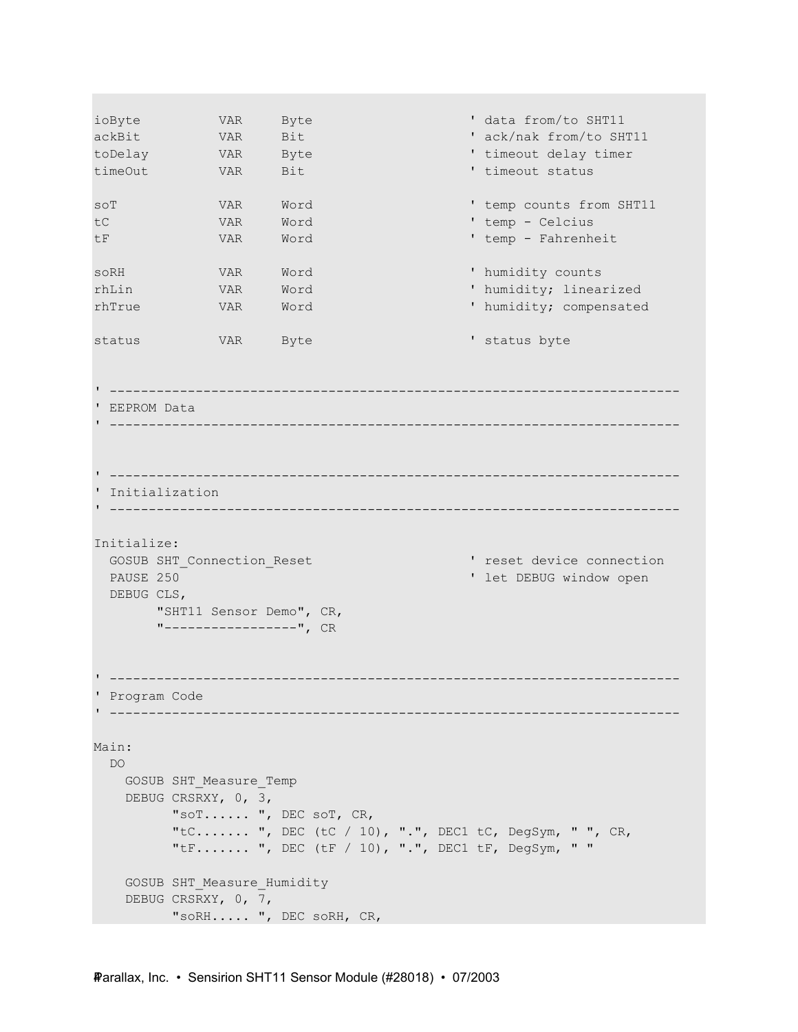```
ioByte VAR Byte ' data from/to SHT11 
ackBit VAR Bit ' ack/nak from/to SHT11
toDelay VAR Byte ' timeout delay timer 
           VAR Bit ' timeout status
soT WAR Word ' temp counts from SHT11
tC VAR Word ' temp - Celcius 
tF VAR Word ' temp - Fahrenheit 
soRH VAR Word ' humidity counts
rhLin VAR Word ' humidity; linearized 
rhTrue VAR Word ' humidity; compensated 
status VAR Byte ' status byte
' ------------------------------------------------------------------------- 
' EEPROM Data 
' ------------------------------------------------------------------------- 
' ------------------------------------------------------------------------- 
' Initialization 
' ------------------------------------------------------------------------- 
Initialize: 
 GOSUB SHT Connection Reset ' reset device connection
 PAUSE 250 ' let DEBUG window open
  DEBUG CLS, 
       "SHT11 Sensor Demo", CR, 
       "-----------------", CR 
' ------------------------------------------------------------------------- 
' Program Code 
' ------------------------------------------------------------------------- 
Main: 
  DO 
   GOSUB SHT_Measure_Temp 
    DEBUG CRSRXY, 0, 3, 
        "soT...... ", DEC soT, CR, 
         "tC....... ", DEC (tC / 10), ".", DEC1 tC, DegSym, " ", CR, 
        "tF....... ", DEC (tF / 10), ".", DEC1 tF, DegSym, " " 
    GOSUB SHT_Measure_Humidity 
    DEBUG CRSRXY, 0, 7, 
         "soRH..... ", DEC soRH, CR,
```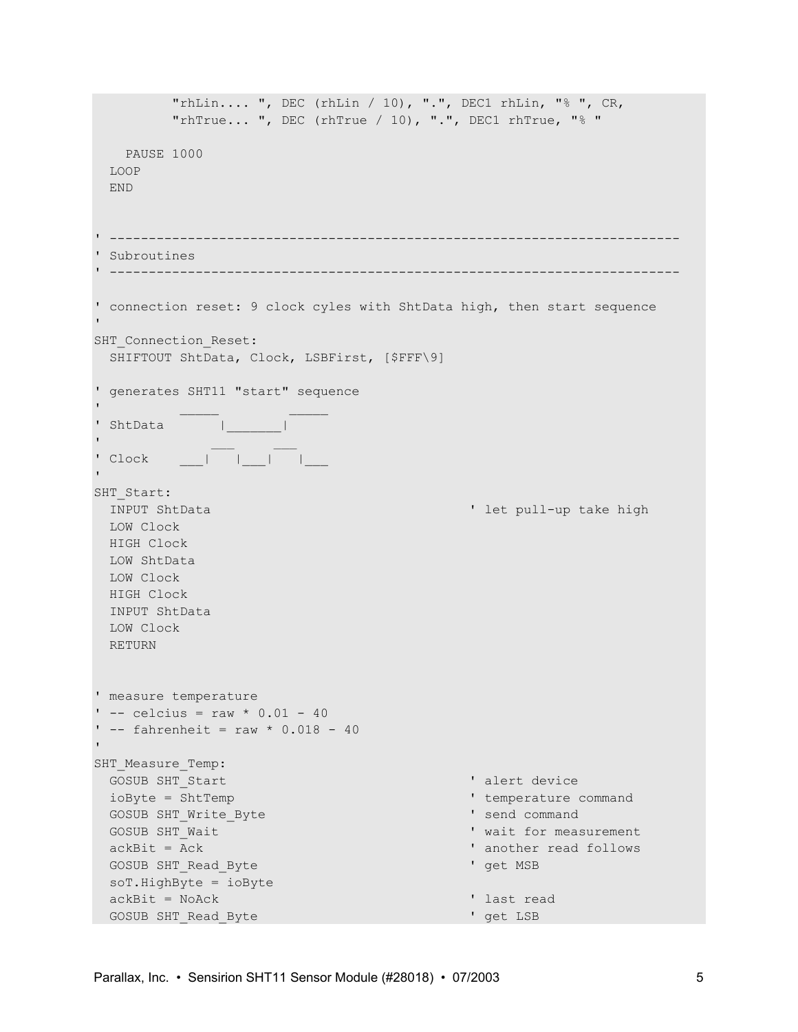```
 "rhLin.... ", DEC (rhLin / 10), ".", DEC1 rhLin, "% ", CR, 
         "rhTrue... ", DEC (rhTrue / 10), ".", DEC1 rhTrue, "% " 
   PAUSE 1000 
  LOOP 
  END 
' ------------------------------------------------------------------------- 
' Subroutines 
' ------------------------------------------------------------------------- 
' connection reset: 9 clock cyles with ShtData high, then start sequence 
'
SHT Connection Reset:
  SHIFTOUT ShtData, Clock, LSBFirst, [$FFF\9] 
' generates SHT11 "start" sequence 
' _____ _____ 
' ShtData | | |
' __ __ __ __ __ __ __ __ __ __
' Clock ___| |___| |___ 
'
SHT Start:
 INPUT ShtData ' let pull-up take high
  LOW Clock 
  HIGH Clock 
  LOW ShtData 
  LOW Clock 
  HIGH Clock 
  INPUT ShtData 
  LOW Clock 
  RETURN 
' measure temperature 
' -- celcius = raw * 0.01 - 40
' - fahrenheit = raw * 0.018 - 40
'
SHT Measure Temp:
 GOSUB SHT Start ' alert device
 ioByte = ShtTemp \blacksquareGOSUB SHT Write Byte ' send command
 GOSUB SHT Wait ' wait for measurement
 ackBit = Ack \blacksquareGOSUB SHT Read Byte ' Gosub ' get MSB
  soT.HighByte = ioByte 
 ackBit = NoAck \blacksquareGOSUB SHT_Read_Byte ' get LSB
```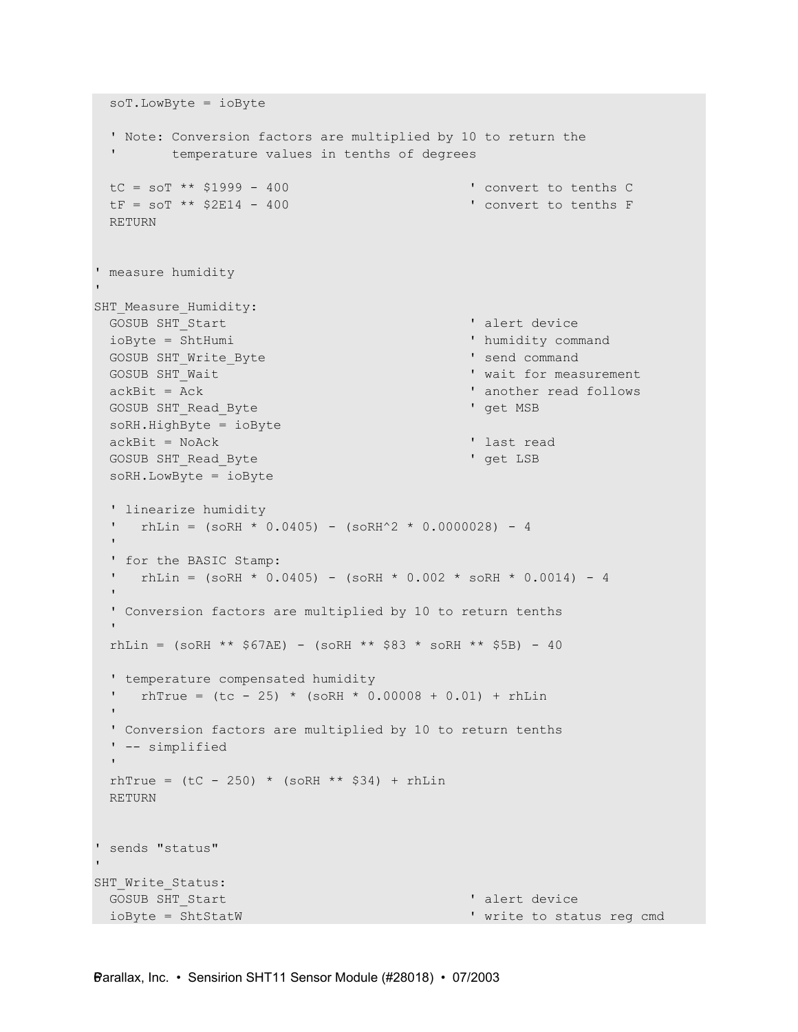```
 soT.LowByte = ioByte 
  ' Note: Conversion factors are multiplied by 10 to return the 
  ' temperature values in tenths of degrees 
 \text{tc} = \text{soT} ** $1999 - 400
 \text{tF} = \text{softmax} \star \text{ } \text{\textless} 2\text{E}14 - 400 ' convert to tenths F
  RETURN 
' measure humidity 
'
SHT Measure Humidity:
 GOSUB SHT Start ' alert device
 ioByte = ShtHumi \blacksquareGOSUB SHT Write Byte ' send command
 GOSUB SHT Wait ' wait for measurement
 ackBit = Ack \blacksquareGOSUB SHT Read Byte ' get MSB
  soRH.HighByte = ioByte 
 ackBit = NoAck \blacksquareGOSUB SHT Read Byte ' get LSB
  soRH.LowByte = ioByte 
  ' linearize humidity 
 ' rhLin = (soRH * 0.0405) - (soRH^2 * 0.0000028) - 4'' '' '
  ' for the BASIC Stamp: 
   rhLin = (soRH * 0.0405) - (soRH * 0.002 * soRH * 0.0014) - 4
'' '' '
  ' Conversion factors are multiplied by 10 to return tenths 
'' '' '
 rhLin = (soRH ** $67AE) - (soRH ** $83 * soRH ** $5B) - 40
  ' temperature compensated humidity 
   rhTrue = (tc - 25) * (soRH * 0.00008 + 0.01) + rhLin
'' '' '
  ' Conversion factors are multiplied by 10 to return tenths 
  ' -- simplified 
'' '' '
 rhTrue = (tC - 250) * (soRH ** $34) + rhLin
  RETURN 
' sends "status" 
'
SHT Write Status:
 GOSUB SHT Start ' alert device ' alert device
 ioByte = ShtStatW ' write to status reg cmd
```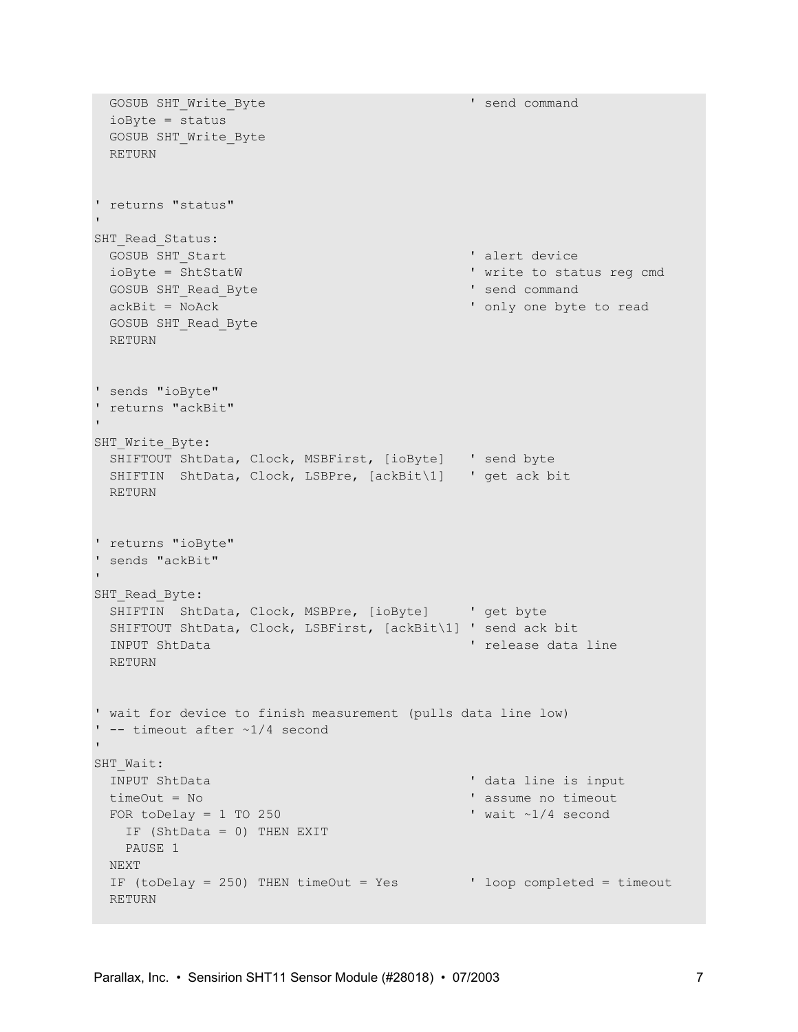```
GOSUB SHT Write Byte ' send command
  ioByte = status 
 GOSUB SHT Write Byte
  RETURN 
' returns "status" 
'
SHT Read Status:
 GOSUB SHT Start ' alert device
  ioByte = ShtStatW ' write to status reg cmd 
 GOSUB SHT Read Byte ' send command' send command
 ackBit = NoAck \qquad \qquad ' only one byte to read
  GOSUB SHT_Read_Byte 
  RETURN 
' sends "ioByte" 
' returns "ackBit" 
'
SHT Write Byte:
  SHIFTOUT ShtData, Clock, MSBFirst, [ioByte] ' send byte 
  SHIFTIN ShtData, Clock, LSBPre, [ackBit\1] ' get ack bit 
  RETURN 
' returns "ioByte" 
' sends "ackBit" 
'
SHT Read Byte:
  SHIFTIN ShtData, Clock, MSBPre, [ioByte] ' get byte 
  SHIFTOUT ShtData, Clock, LSBFirst, [ackBit\1] ' send ack bit 
 INPUT ShtData ' release data line
  RETURN 
' wait for device to finish measurement (pulls data line low) 
' -- timeout after ~1/4 second 
'
SHT_Wait:
 INPUT ShtData ' and ' data line is input
  timeOut = No ' assume no timeout 
 FOR toDelay = 1 TO 250 \blacksquare IF (ShtData = 0) THEN EXIT 
   PAUSE 1 
  NEXT 
 IF (toDelay = 250) THEN timeOut = Yes \blacksquare ' loop completed = timeout
  RETURN
```